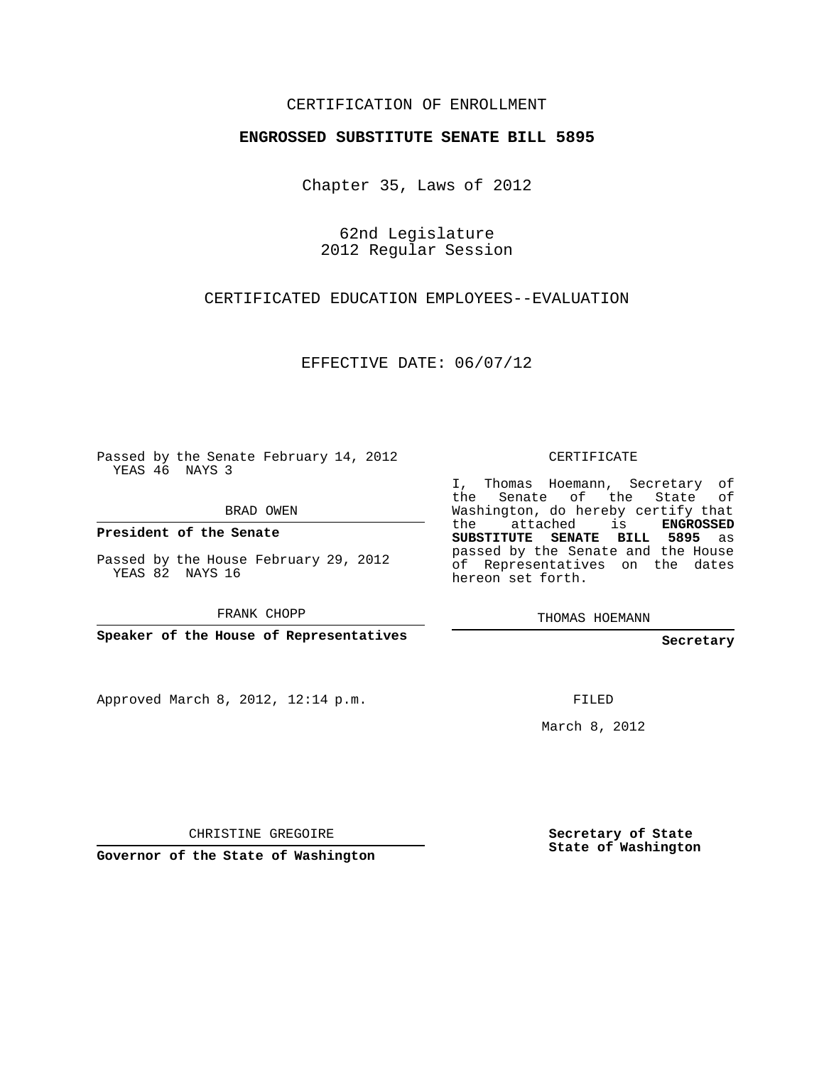## CERTIFICATION OF ENROLLMENT

## **ENGROSSED SUBSTITUTE SENATE BILL 5895**

Chapter 35, Laws of 2012

62nd Legislature 2012 Regular Session

## CERTIFICATED EDUCATION EMPLOYEES--EVALUATION

EFFECTIVE DATE: 06/07/12

Passed by the Senate February 14, 2012 YEAS 46 NAYS 3

BRAD OWEN

**President of the Senate**

Passed by the House February 29, 2012 YEAS 82 NAYS 16

FRANK CHOPP

**Speaker of the House of Representatives**

Approved March 8, 2012, 12:14 p.m.

CERTIFICATE

I, Thomas Hoemann, Secretary of the Senate of the State of Washington, do hereby certify that the attached is **ENGROSSED SUBSTITUTE SENATE BILL 5895** as passed by the Senate and the House of Representatives on the dates hereon set forth.

THOMAS HOEMANN

**Secretary**

FILED

March 8, 2012

CHRISTINE GREGOIRE

**Governor of the State of Washington**

**Secretary of State State of Washington**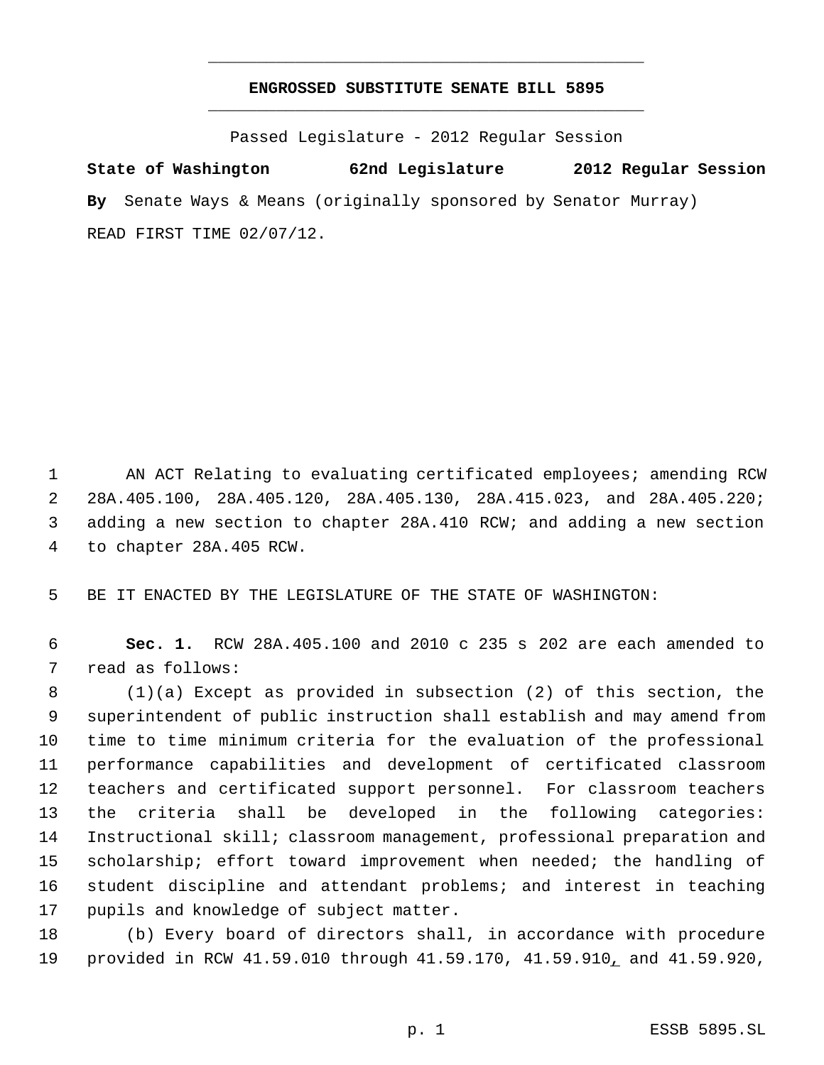## **ENGROSSED SUBSTITUTE SENATE BILL 5895** \_\_\_\_\_\_\_\_\_\_\_\_\_\_\_\_\_\_\_\_\_\_\_\_\_\_\_\_\_\_\_\_\_\_\_\_\_\_\_\_\_\_\_\_\_

\_\_\_\_\_\_\_\_\_\_\_\_\_\_\_\_\_\_\_\_\_\_\_\_\_\_\_\_\_\_\_\_\_\_\_\_\_\_\_\_\_\_\_\_\_

Passed Legislature - 2012 Regular Session

**State of Washington 62nd Legislature 2012 Regular Session By** Senate Ways & Means (originally sponsored by Senator Murray) READ FIRST TIME 02/07/12.

 AN ACT Relating to evaluating certificated employees; amending RCW 28A.405.100, 28A.405.120, 28A.405.130, 28A.415.023, and 28A.405.220; adding a new section to chapter 28A.410 RCW; and adding a new section to chapter 28A.405 RCW.

BE IT ENACTED BY THE LEGISLATURE OF THE STATE OF WASHINGTON:

 **Sec. 1.** RCW 28A.405.100 and 2010 c 235 s 202 are each amended to read as follows:

 (1)(a) Except as provided in subsection (2) of this section, the superintendent of public instruction shall establish and may amend from time to time minimum criteria for the evaluation of the professional performance capabilities and development of certificated classroom teachers and certificated support personnel. For classroom teachers the criteria shall be developed in the following categories: Instructional skill; classroom management, professional preparation and scholarship; effort toward improvement when needed; the handling of student discipline and attendant problems; and interest in teaching pupils and knowledge of subject matter.

 (b) Every board of directors shall, in accordance with procedure provided in RCW 41.59.010 through 41.59.170, 41.59.910, and 41.59.920,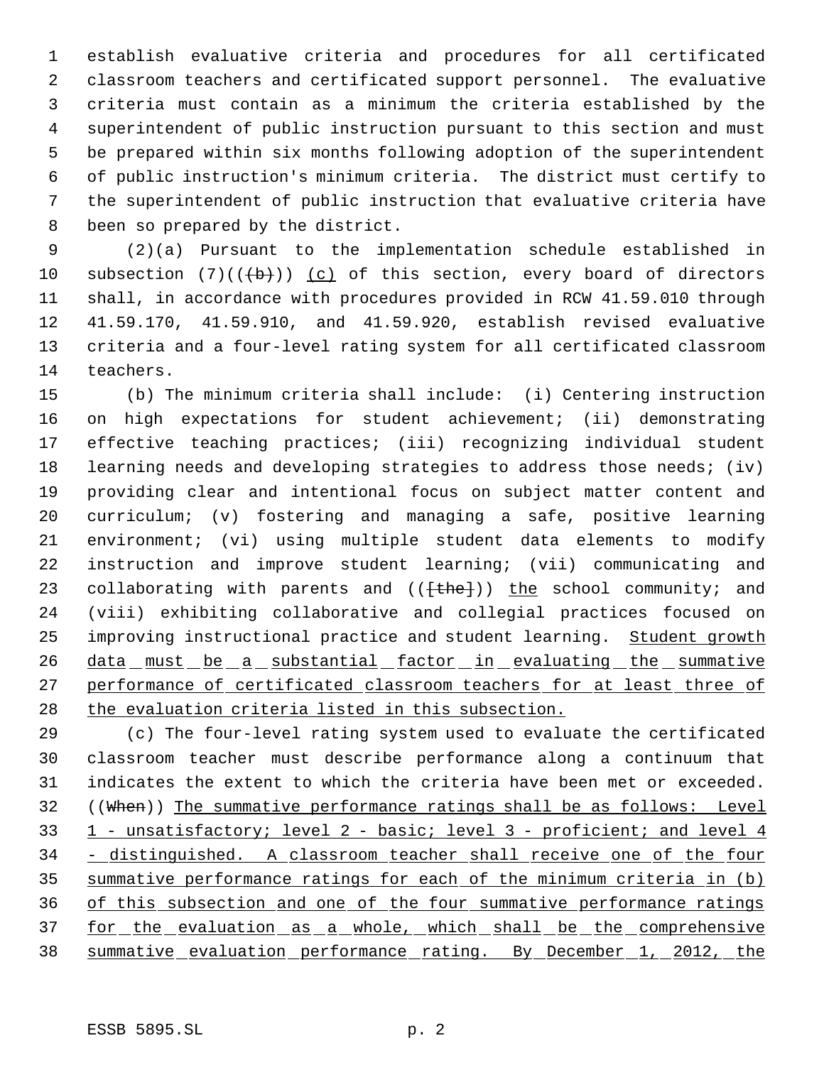establish evaluative criteria and procedures for all certificated classroom teachers and certificated support personnel. The evaluative criteria must contain as a minimum the criteria established by the superintendent of public instruction pursuant to this section and must be prepared within six months following adoption of the superintendent of public instruction's minimum criteria. The district must certify to the superintendent of public instruction that evaluative criteria have been so prepared by the district.

 (2)(a) Pursuant to the implementation schedule established in 10 subsection  $(7)((\{b\}))$  (c) of this section, every board of directors shall, in accordance with procedures provided in RCW 41.59.010 through 41.59.170, 41.59.910, and 41.59.920, establish revised evaluative criteria and a four-level rating system for all certificated classroom teachers.

 (b) The minimum criteria shall include: (i) Centering instruction on high expectations for student achievement; (ii) demonstrating effective teaching practices; (iii) recognizing individual student learning needs and developing strategies to address those needs; (iv) providing clear and intentional focus on subject matter content and curriculum; (v) fostering and managing a safe, positive learning environment; (vi) using multiple student data elements to modify instruction and improve student learning; (vii) communicating and 23 collaborating with parents and  $((\text{the})$ ) the school community; and (viii) exhibiting collaborative and collegial practices focused on 25 improving instructional practice and student learning. Student growth 26 data must be a substantial factor in evaluating the summative 27 performance of certificated classroom teachers for at least three of 28 the evaluation criteria listed in this subsection.

 (c) The four-level rating system used to evaluate the certificated classroom teacher must describe performance along a continuum that indicates the extent to which the criteria have been met or exceeded. 32 ((When)) The summative performance ratings shall be as follows: Level 33 1 - unsatisfactory; level 2 - basic; level 3 - proficient; and level 4 34 - distinguished. A classroom teacher shall receive one of the four summative performance ratings for each of the minimum criteria in (b) of this subsection and one of the four summative performance ratings 37 for the evaluation as a whole, which shall be the comprehensive summative evaluation performance rating. By December 1, 2012, the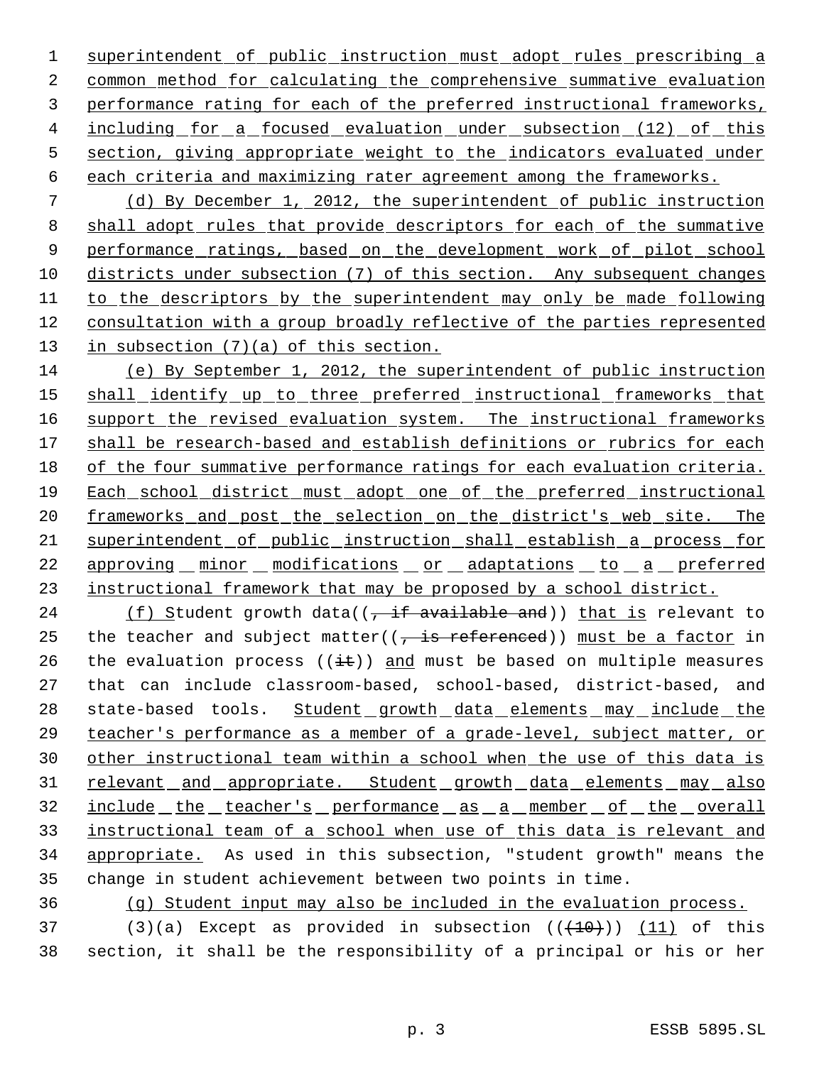1 superintendent of public instruction must adopt rules prescribing a common method for calculating the comprehensive summative evaluation performance rating for each of the preferred instructional frameworks, 4 including for a focused evaluation under subsection (12) of this section, giving appropriate weight to the indicators evaluated under each criteria and maximizing rater agreement among the frameworks.

 7 (d) By December 1, 2012, the superintendent of public instruction 8 shall adopt rules that provide descriptors for each of the summative 9 performance ratings, based on the development work of pilot school 10 districts under subsection (7) of this section. Any subsequent changes 11 to the descriptors by the superintendent may only be made following 12 consultation with a group broadly reflective of the parties represented 13 in subsection (7)(a) of this section.

14 (e) By September 1, 2012, the superintendent of public instruction 15 shall identify up to three preferred instructional frameworks that 16 support the revised evaluation system. The instructional frameworks 17 shall be research-based and establish definitions or rubrics for each 18 of the four summative performance ratings for each evaluation criteria. 19 Each school district must adopt one of the preferred instructional 20 <u>frameworks and post the selection on the district's web site. The</u> 21 superintendent of public instruction shall establish a process for 22 approving minor modifications or adaptations to a preferred 23 instructional framework that may be proposed by a school district.

24 (f) Student growth data( $(\frac{1}{2} + \frac{1}{2})$  for  $\frac{1}{2}$  and)) that is relevant to 25 the teacher and subject matter( $\left( \frac{1}{2} + \frac{1}{2} s \right)$  must be a factor in 26 the evaluation process ( $(i\ddot{t})$ ) and must be based on multiple measures 27 that can include classroom-based, school-based, district-based, and 28 state-based tools. Student growth data elements may include the 29 teacher's performance as a member of a grade-level, subject matter, or 30 other instructional team within a school when the use of this data is 31 relevant and appropriate. Student growth data elements may also 32 include the teacher's performance as a member of the overall 33 instructional team of a school when use of this data is relevant and 34 appropriate. As used in this subsection, "student growth" means the 35 change in student achievement between two points in time.

36 (g) Student input may also be included in the evaluation process.

37 (3)(a) Except as provided in subsection  $((+10))$  (11) of this 38 section, it shall be the responsibility of a principal or his or her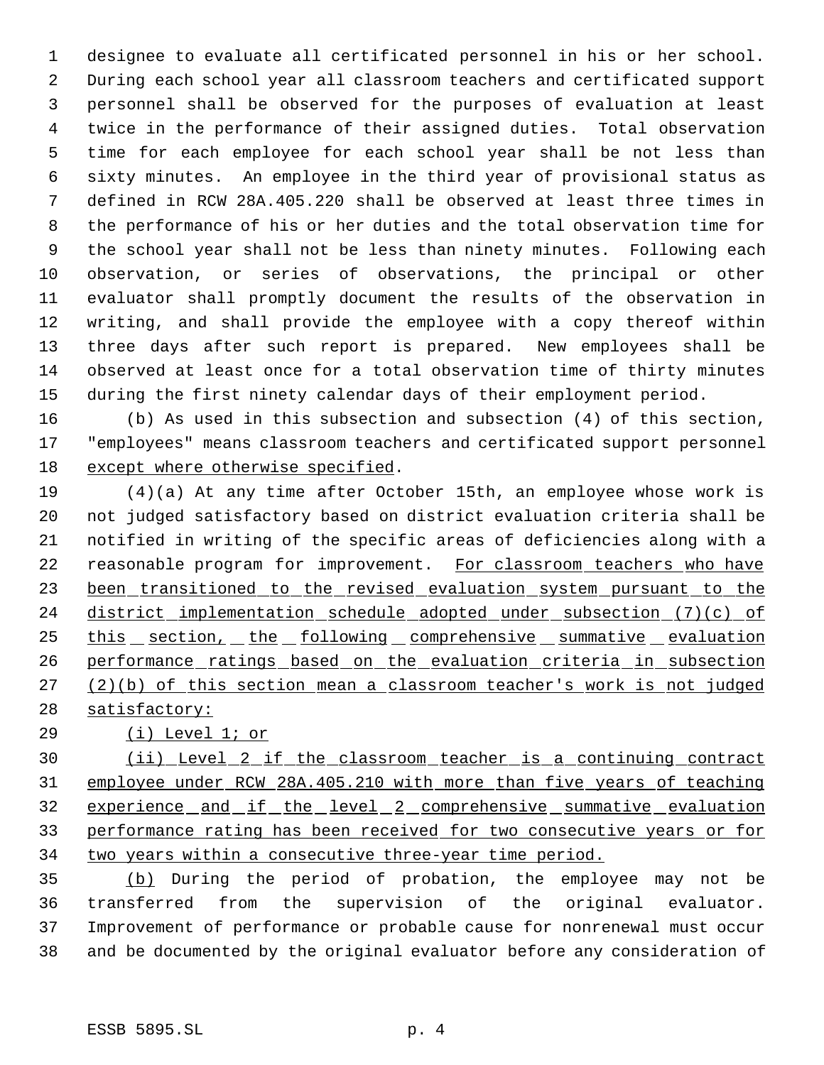designee to evaluate all certificated personnel in his or her school. During each school year all classroom teachers and certificated support personnel shall be observed for the purposes of evaluation at least twice in the performance of their assigned duties. Total observation time for each employee for each school year shall be not less than sixty minutes. An employee in the third year of provisional status as defined in RCW 28A.405.220 shall be observed at least three times in the performance of his or her duties and the total observation time for the school year shall not be less than ninety minutes. Following each observation, or series of observations, the principal or other evaluator shall promptly document the results of the observation in writing, and shall provide the employee with a copy thereof within three days after such report is prepared. New employees shall be observed at least once for a total observation time of thirty minutes during the first ninety calendar days of their employment period.

 (b) As used in this subsection and subsection (4) of this section, "employees" means classroom teachers and certificated support personnel except where otherwise specified.

 (4)(a) At any time after October 15th, an employee whose work is not judged satisfactory based on district evaluation criteria shall be notified in writing of the specific areas of deficiencies along with a 22 reasonable program for improvement. For classroom teachers who have 23 been transitioned to the revised evaluation system pursuant to the 24 district implementation schedule adopted under subsection (7)(c) of 25 this section, the following comprehensive summative evaluation performance ratings based on the evaluation criteria in subsection (2)(b) of this section mean a classroom teacher's work is not judged 28 satisfactory:

(i) Level 1; or

 (ii) Level 2 if the classroom teacher is a continuing contract employee under RCW 28A.405.210 with more than five years of teaching 32 experience and if the level 2 comprehensive summative evaluation performance rating has been received for two consecutive years or for 34 two years within a consecutive three-year time period.

 (b) During the period of probation, the employee may not be transferred from the supervision of the original evaluator. Improvement of performance or probable cause for nonrenewal must occur and be documented by the original evaluator before any consideration of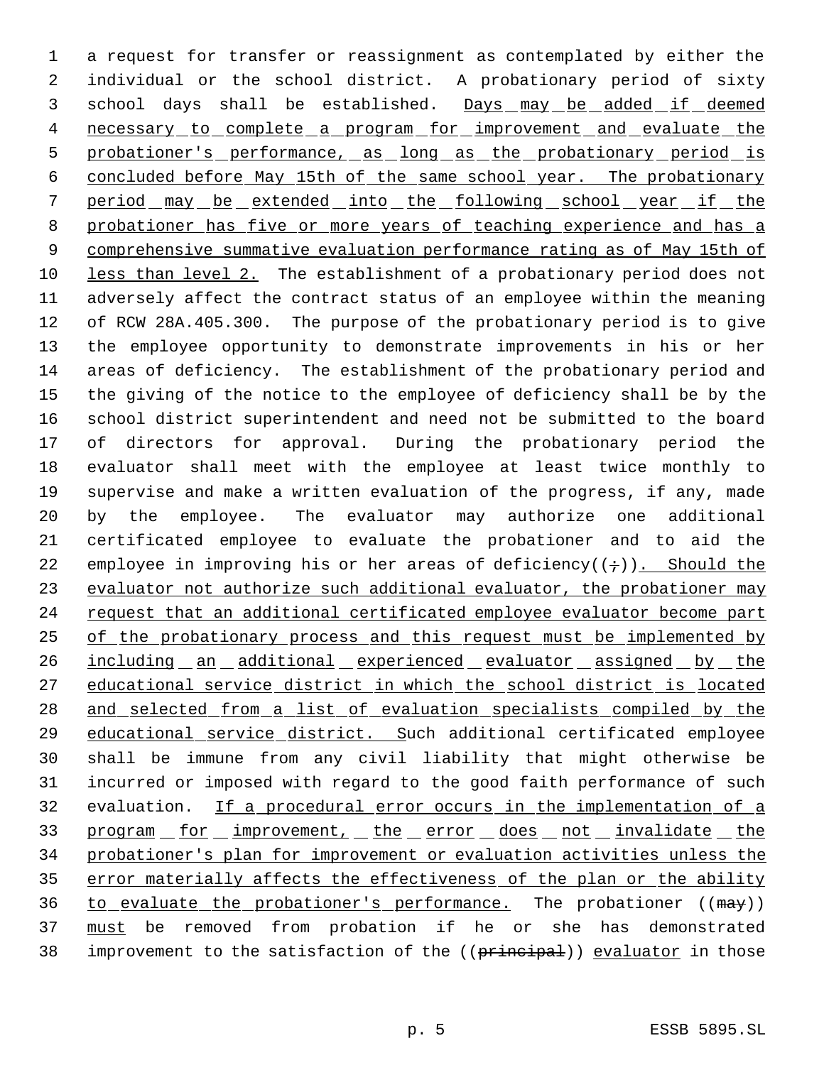a request for transfer or reassignment as contemplated by either the individual or the school district. A probationary period of sixty 3 school days shall be established. Days may be added if deemed 4 necessary to complete a program for improvement and evaluate the probationer's performance, as long as the probationary period is concluded before May 15th of the same school year. The probationary period may be extended into the following school year if the 8 probationer has five or more years of teaching experience and has a comprehensive summative evaluation performance rating as of May 15th of less than level 2. The establishment of a probationary period does not adversely affect the contract status of an employee within the meaning of RCW 28A.405.300. The purpose of the probationary period is to give the employee opportunity to demonstrate improvements in his or her areas of deficiency. The establishment of the probationary period and the giving of the notice to the employee of deficiency shall be by the school district superintendent and need not be submitted to the board of directors for approval. During the probationary period the evaluator shall meet with the employee at least twice monthly to supervise and make a written evaluation of the progress, if any, made by the employee. The evaluator may authorize one additional certificated employee to evaluate the probationer and to aid the 22 employee in improving his or her areas of deficiency( $(+)$ ). Should the 23 evaluator not authorize such additional evaluator, the probationer may 24 request that an additional certificated employee evaluator become part 25 of the probationary process and this request must be implemented by 26 including an additional experienced evaluator assigned by the educational service district in which the school district is located 28 and selected from a list of evaluation specialists compiled by the educational service district. Such additional certificated employee shall be immune from any civil liability that might otherwise be incurred or imposed with regard to the good faith performance of such evaluation. If a procedural error occurs in the implementation of a 33 program for improvement, the error does not invalidate the probationer's plan for improvement or evaluation activities unless the 35 error materially affects the effectiveness of the plan or the ability 36 to evaluate the probationer's performance. The probationer  $((\text{max}))$ 37 must be removed from probation if he or she has demonstrated 38 improvement to the satisfaction of the ((principal)) evaluator in those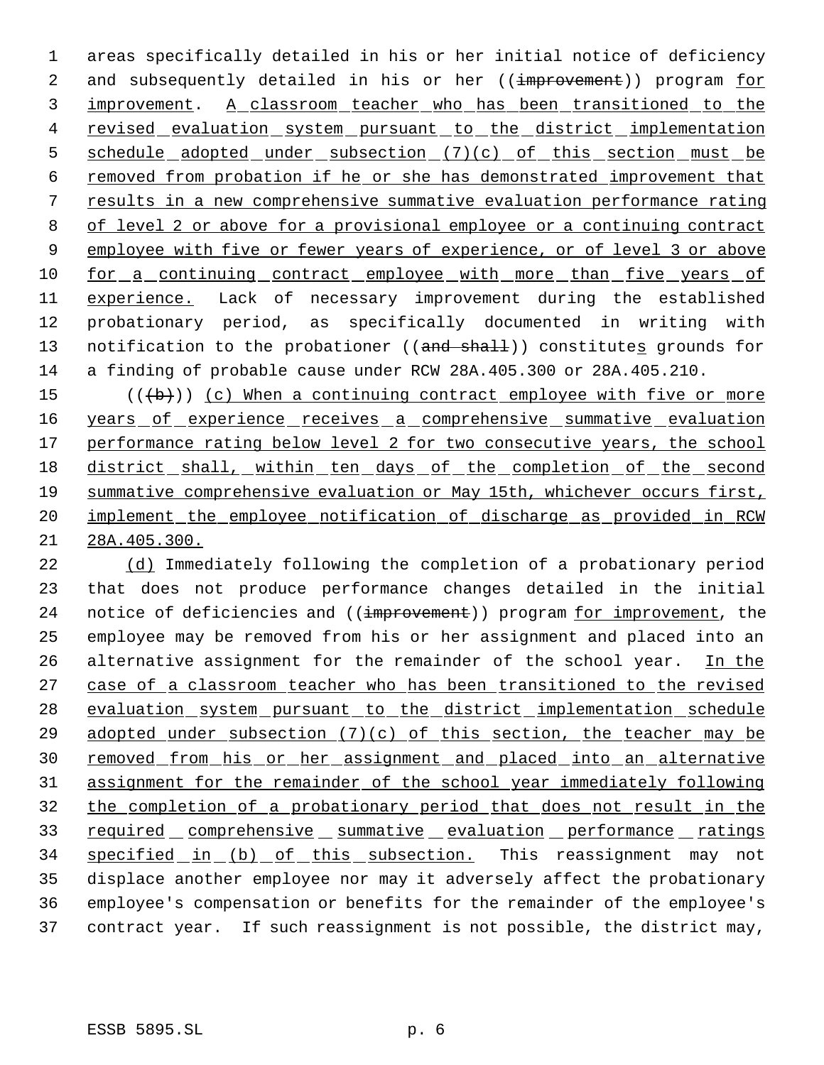1 areas specifically detailed in his or her initial notice of deficiency 2 and subsequently detailed in his or her ((improvement)) program for 3 improvement. A classroom teacher who has been transitioned to the 4 revised evaluation system pursuant to the district implementation 5 schedule adopted under subsection (7)(c) of this section must be 6 removed from probation if he or she has demonstrated improvement that 7 results in a new comprehensive summative evaluation performance rating 8 of level 2 or above for a provisional employee or a continuing contract 9 employee with five or fewer years of experience, or of level 3 or above 10 for a continuing contract employee with more than five years of 11 experience. Lack of necessary improvement during the established 12 probationary period, as specifically documented in writing with 13 notification to the probationer ((and shall)) constitutes grounds for 14 a finding of probable cause under RCW 28A.405.300 or 28A.405.210.

15  $((+b))$  (c) When a continuing contract employee with five or more 16 years of experience receives a comprehensive summative evaluation 17 performance rating below level 2 for two consecutive years, the school 18 district shall, within ten days of the completion of the second 19 summative comprehensive evaluation or May 15th, whichever occurs first, 20 implement the employee notification of discharge as provided in RCW 21 28A.405.300.

22 (d) Immediately following the completion of a probationary period 23 that does not produce performance changes detailed in the initial 24 notice of deficiencies and ((improvement)) program for improvement, the 25 employee may be removed from his or her assignment and placed into an 26 alternative assignment for the remainder of the school year. In the 27 case of a classroom teacher who has been transitioned to the revised 28 evaluation system pursuant to the district implementation schedule 29 adopted under subsection  $(7)(c)$  of this section, the teacher may be 30 removed from his or her assignment and placed into an alternative 31 assignment for the remainder of the school year immediately following 32 the completion of a probationary period that does not result in the 33 required comprehensive summative evaluation performance ratings 34 specified in (b) of this subsection. This reassignment may not 35 displace another employee nor may it adversely affect the probationary 36 employee's compensation or benefits for the remainder of the employee's 37 contract year. If such reassignment is not possible, the district may,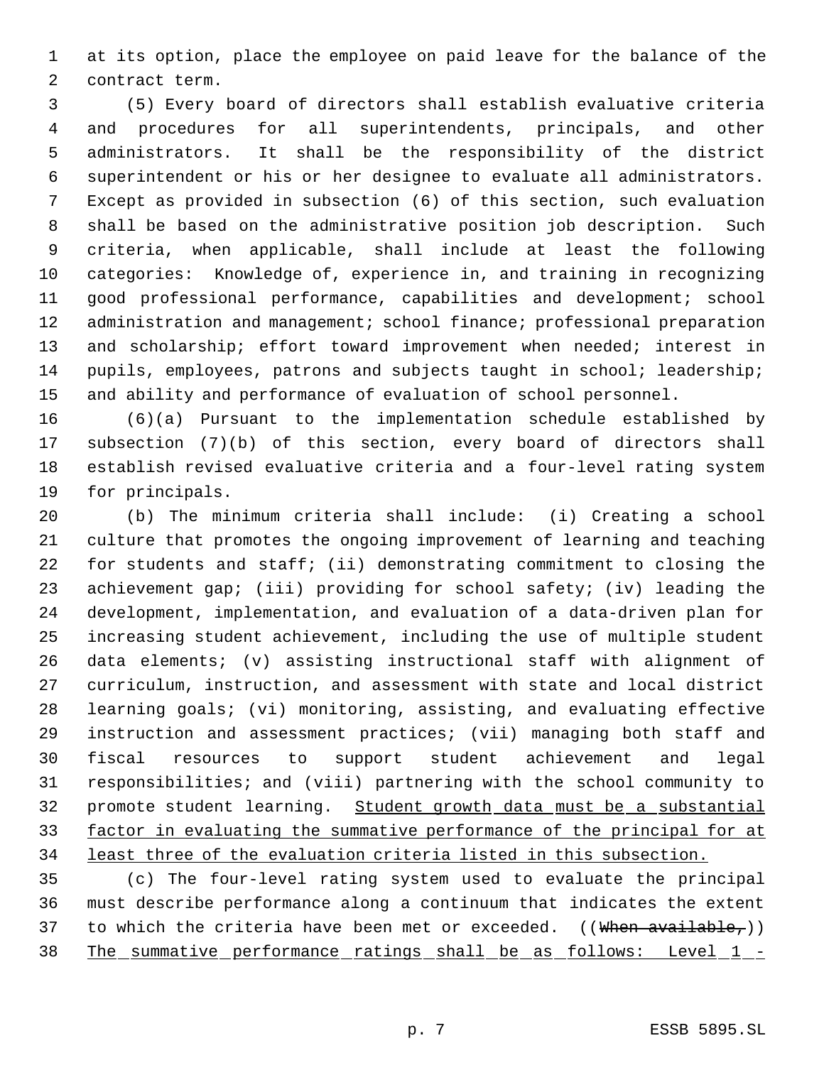at its option, place the employee on paid leave for the balance of the contract term.

 (5) Every board of directors shall establish evaluative criteria and procedures for all superintendents, principals, and other administrators. It shall be the responsibility of the district superintendent or his or her designee to evaluate all administrators. Except as provided in subsection (6) of this section, such evaluation shall be based on the administrative position job description. Such criteria, when applicable, shall include at least the following categories: Knowledge of, experience in, and training in recognizing good professional performance, capabilities and development; school 12 administration and management; school finance; professional preparation 13 and scholarship; effort toward improvement when needed; interest in pupils, employees, patrons and subjects taught in school; leadership; and ability and performance of evaluation of school personnel.

 (6)(a) Pursuant to the implementation schedule established by subsection (7)(b) of this section, every board of directors shall establish revised evaluative criteria and a four-level rating system for principals.

 (b) The minimum criteria shall include: (i) Creating a school culture that promotes the ongoing improvement of learning and teaching for students and staff; (ii) demonstrating commitment to closing the achievement gap; (iii) providing for school safety; (iv) leading the development, implementation, and evaluation of a data-driven plan for increasing student achievement, including the use of multiple student data elements; (v) assisting instructional staff with alignment of curriculum, instruction, and assessment with state and local district learning goals; (vi) monitoring, assisting, and evaluating effective instruction and assessment practices; (vii) managing both staff and fiscal resources to support student achievement and legal responsibilities; and (viii) partnering with the school community to promote student learning. Student growth data must be a substantial 33 factor in evaluating the summative performance of the principal for at least three of the evaluation criteria listed in this subsection.

 (c) The four-level rating system used to evaluate the principal must describe performance along a continuum that indicates the extent 37 to which the criteria have been met or exceeded. ((When available,)) 38 The summative performance ratings shall be as follows: Level 1 -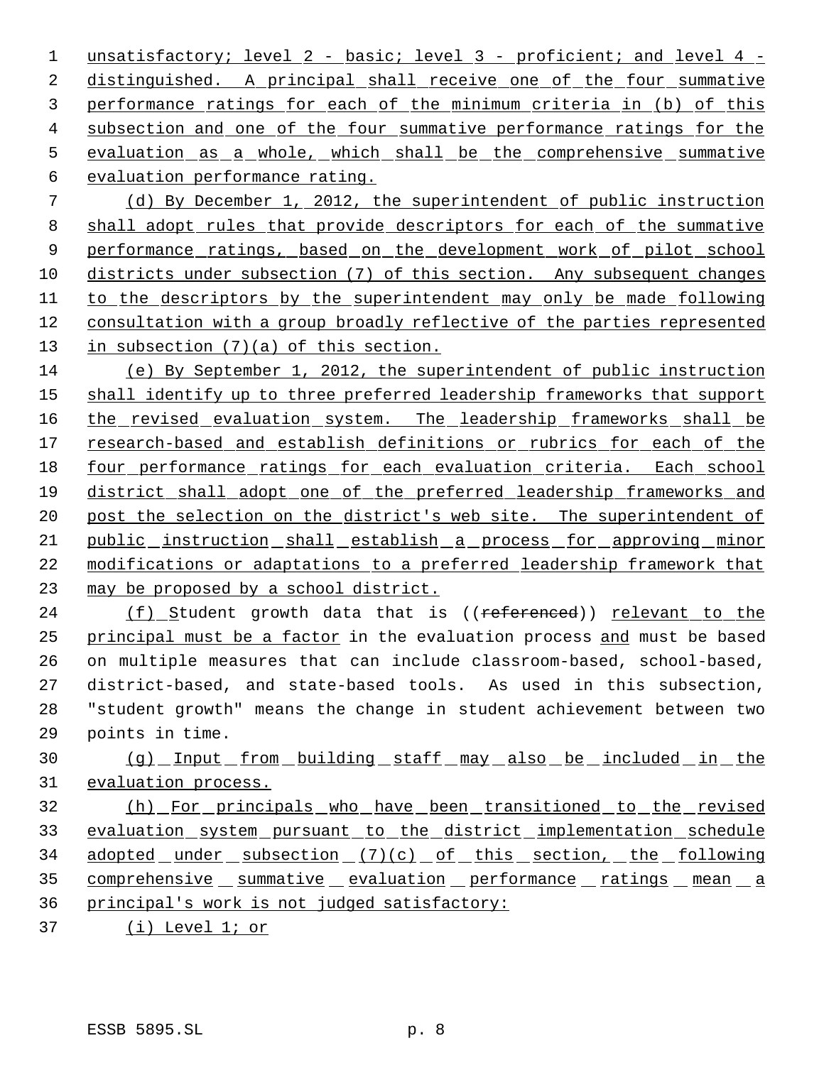1 unsatisfactory; level 2 - basic; level 3 - proficient; and level 4 - distinguished. A principal shall receive one of the four summative performance ratings for each of the minimum criteria in (b) of this subsection and one of the four summative performance ratings for the 5 evaluation as a whole, which shall be the comprehensive summative evaluation performance rating. (d) By December 1, 2012, the superintendent of public instruction shall adopt rules that provide descriptors for each of the summative

9 performance ratings, based on the development work of pilot school 10 districts under subsection (7) of this section. Any subsequent changes to the descriptors by the superintendent may only be made following consultation with a group broadly reflective of the parties represented 13 in subsection (7)(a) of this section.

 (e) By September 1, 2012, the superintendent of public instruction 15 shall identify up to three preferred leadership frameworks that support 16 the revised evaluation system. The leadership frameworks shall be research-based and establish definitions or rubrics for each of the four performance ratings for each evaluation criteria. Each school district shall adopt one of the preferred leadership frameworks and 20 post the selection on the district's web site. The superintendent of public instruction shall establish a process for approving minor modifications or adaptations to a preferred leadership framework that may be proposed by a school district.

24 (f) Student growth data that is ((referenced)) relevant to the principal must be a factor in the evaluation process and must be based on multiple measures that can include classroom-based, school-based, district-based, and state-based tools. As used in this subsection, "student growth" means the change in student achievement between two points in time.

 (g) Input from building staff may also be included in the evaluation process.

 (h) For principals who have been transitioned to the revised 33 evaluation system pursuant to the district implementation schedule 34 adopted under subsection (7)(c) of this section, the following 35 comprehensive summative evaluation performance ratings mean a principal's work is not judged satisfactory:

(i) Level 1; or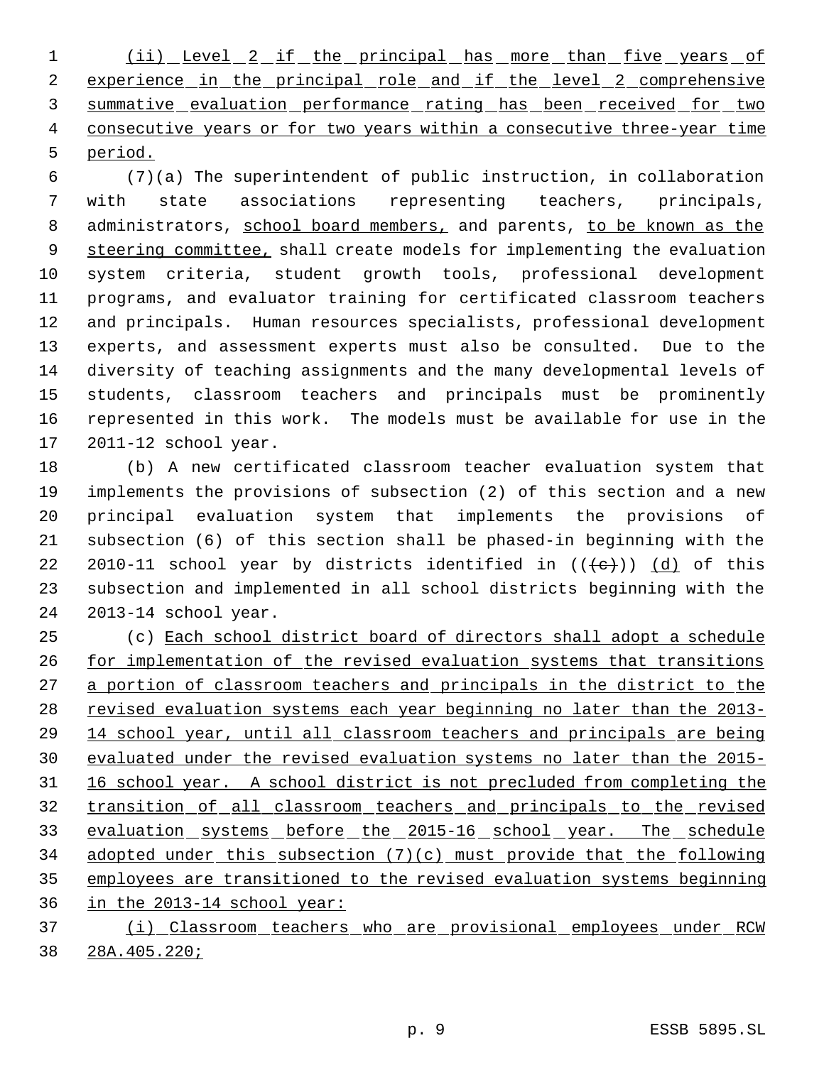1 (ii) Level 2 if the principal has more than five years of 2 experience in the principal role and if the level 2 comprehensive 3 summative evaluation performance rating has been received for two 4 consecutive years or for two years within a consecutive three-year time period.

 (7)(a) The superintendent of public instruction, in collaboration with state associations representing teachers, principals, 8 administrators, school board members, and parents, to be known as the 9 steering committee, shall create models for implementing the evaluation system criteria, student growth tools, professional development programs, and evaluator training for certificated classroom teachers and principals. Human resources specialists, professional development experts, and assessment experts must also be consulted. Due to the diversity of teaching assignments and the many developmental levels of students, classroom teachers and principals must be prominently represented in this work. The models must be available for use in the 2011-12 school year.

 (b) A new certificated classroom teacher evaluation system that implements the provisions of subsection (2) of this section and a new principal evaluation system that implements the provisions of subsection (6) of this section shall be phased-in beginning with the 22 2010-11 school year by districts identified in  $((\{e\})$  (d) of this subsection and implemented in all school districts beginning with the 2013-14 school year.

 (c) Each school district board of directors shall adopt a schedule 26 for implementation of the revised evaluation systems that transitions 27 a portion of classroom teachers and principals in the district to the 28 revised evaluation systems each year beginning no later than the 2013- 14 school year, until all classroom teachers and principals are being evaluated under the revised evaluation systems no later than the 2015- 16 school year. A school district is not precluded from completing the transition of all classroom teachers and principals to the revised 33 evaluation systems before the 2015-16 school year. The schedule adopted under this subsection (7)(c) must provide that the following employees are transitioned to the revised evaluation systems beginning in the 2013-14 school year:

 (i) Classroom teachers who are provisional employees under RCW 28A.405.220;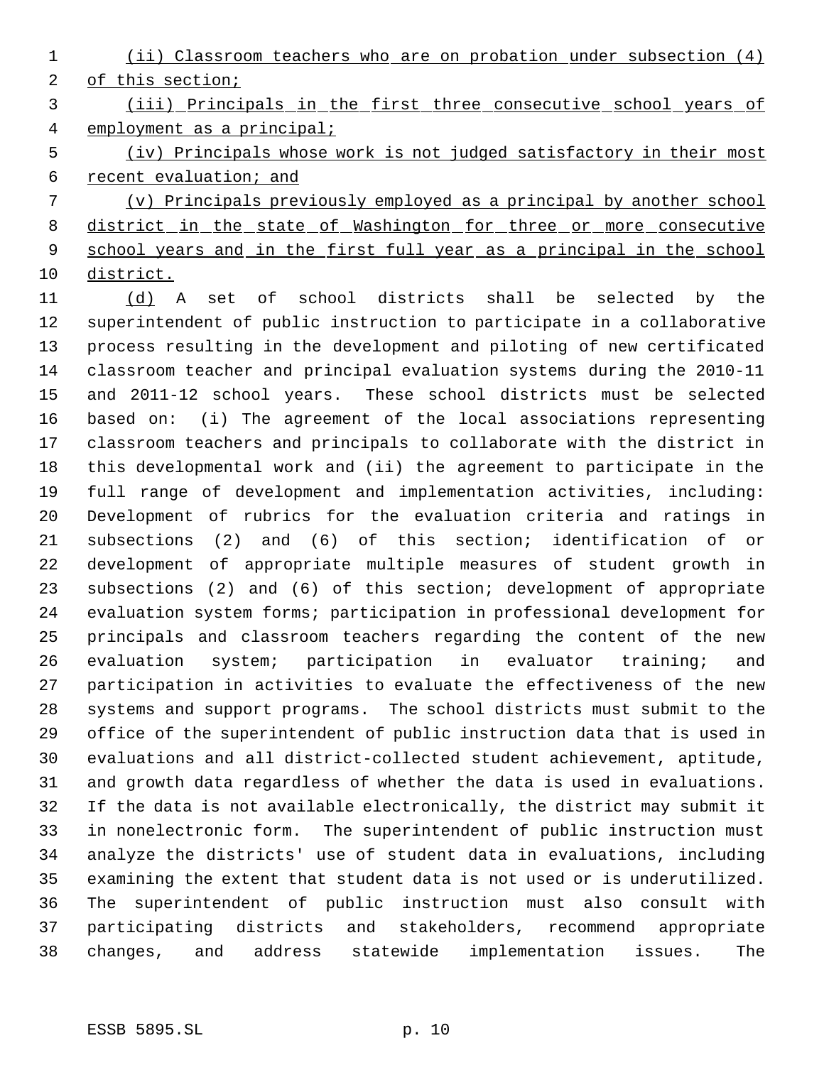(ii) Classroom teachers who are on probation under subsection (4) of this section;

 (iii) Principals in the first three consecutive school years of employment as a principal;

 (iv) Principals whose work is not judged satisfactory in their most recent evaluation; and

 (v) Principals previously employed as a principal by another school 8 district in the state of Washington for three or more consecutive 9 school years and in the first full year as a principal in the school district.

 (d) A set of school districts shall be selected by the superintendent of public instruction to participate in a collaborative process resulting in the development and piloting of new certificated classroom teacher and principal evaluation systems during the 2010-11 and 2011-12 school years. These school districts must be selected based on: (i) The agreement of the local associations representing classroom teachers and principals to collaborate with the district in this developmental work and (ii) the agreement to participate in the full range of development and implementation activities, including: Development of rubrics for the evaluation criteria and ratings in subsections (2) and (6) of this section; identification of or development of appropriate multiple measures of student growth in subsections (2) and (6) of this section; development of appropriate evaluation system forms; participation in professional development for principals and classroom teachers regarding the content of the new evaluation system; participation in evaluator training; and participation in activities to evaluate the effectiveness of the new systems and support programs. The school districts must submit to the office of the superintendent of public instruction data that is used in evaluations and all district-collected student achievement, aptitude, and growth data regardless of whether the data is used in evaluations. If the data is not available electronically, the district may submit it in nonelectronic form. The superintendent of public instruction must analyze the districts' use of student data in evaluations, including examining the extent that student data is not used or is underutilized. The superintendent of public instruction must also consult with participating districts and stakeholders, recommend appropriate changes, and address statewide implementation issues. The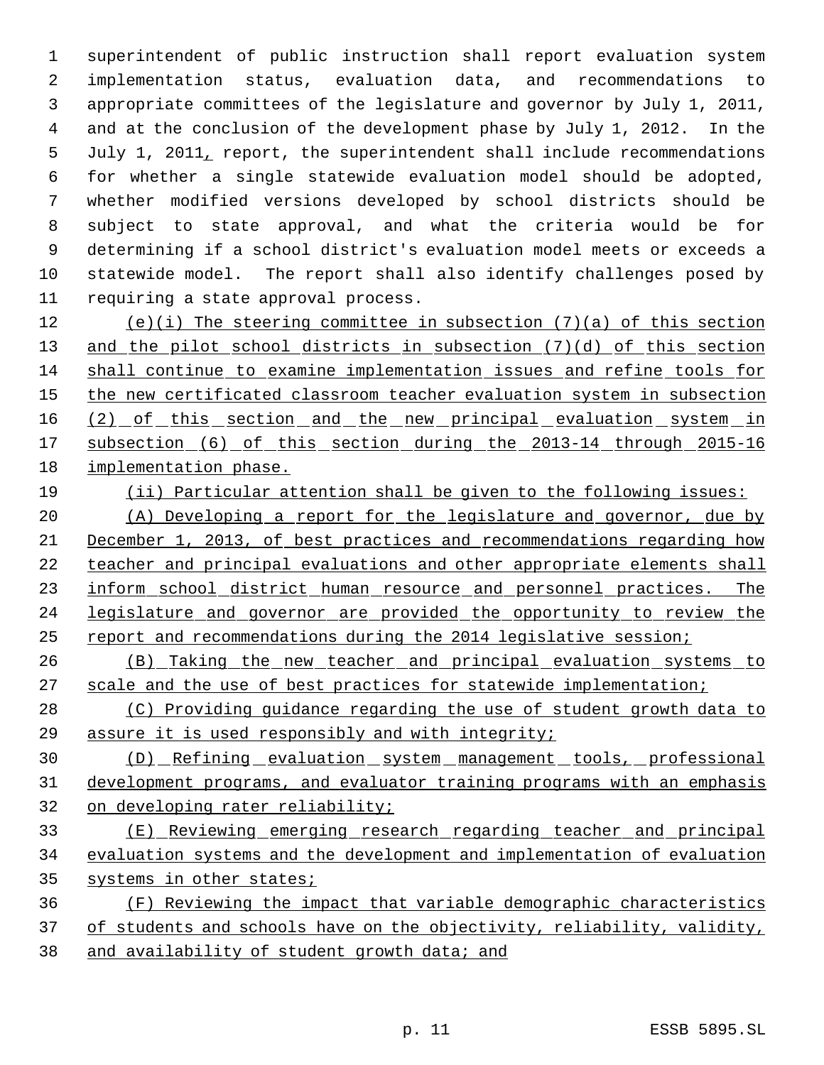superintendent of public instruction shall report evaluation system implementation status, evaluation data, and recommendations to appropriate committees of the legislature and governor by July 1, 2011, and at the conclusion of the development phase by July 1, 2012. In the July 1, 2011, report, the superintendent shall include recommendations for whether a single statewide evaluation model should be adopted, whether modified versions developed by school districts should be subject to state approval, and what the criteria would be for determining if a school district's evaluation model meets or exceeds a statewide model. The report shall also identify challenges posed by requiring a state approval process.

 (e)(i) The steering committee in subsection (7)(a) of this section 13 and the pilot school districts in subsection (7)(d) of this section shall continue to examine implementation issues and refine tools for 15 the new certificated classroom teacher evaluation system in subsection 16 (2) of this section and the new principal evaluation system in 17 subsection (6) of this section during the 2013-14 through 2015-16 implementation phase.

(ii) Particular attention shall be given to the following issues:

 (A) Developing a report for the legislature and governor, due by December 1, 2013, of best practices and recommendations regarding how teacher and principal evaluations and other appropriate elements shall 23 inform school district human resource and personnel practices. The legislature and governor are provided the opportunity to review the report and recommendations during the 2014 legislative session;

 (B) Taking the new teacher and principal evaluation systems to 27 scale and the use of best practices for statewide implementation;

 (C) Providing guidance regarding the use of student growth data to assure it is used responsibly and with integrity;

30 (D) Refining evaluation system management tools, professional development programs, and evaluator training programs with an emphasis on developing rater reliability;

 (E) Reviewing emerging research regarding teacher and principal evaluation systems and the development and implementation of evaluation 35 systems in other states;

 (F) Reviewing the impact that variable demographic characteristics 37 of students and schools have on the objectivity, reliability, validity, and availability of student growth data; and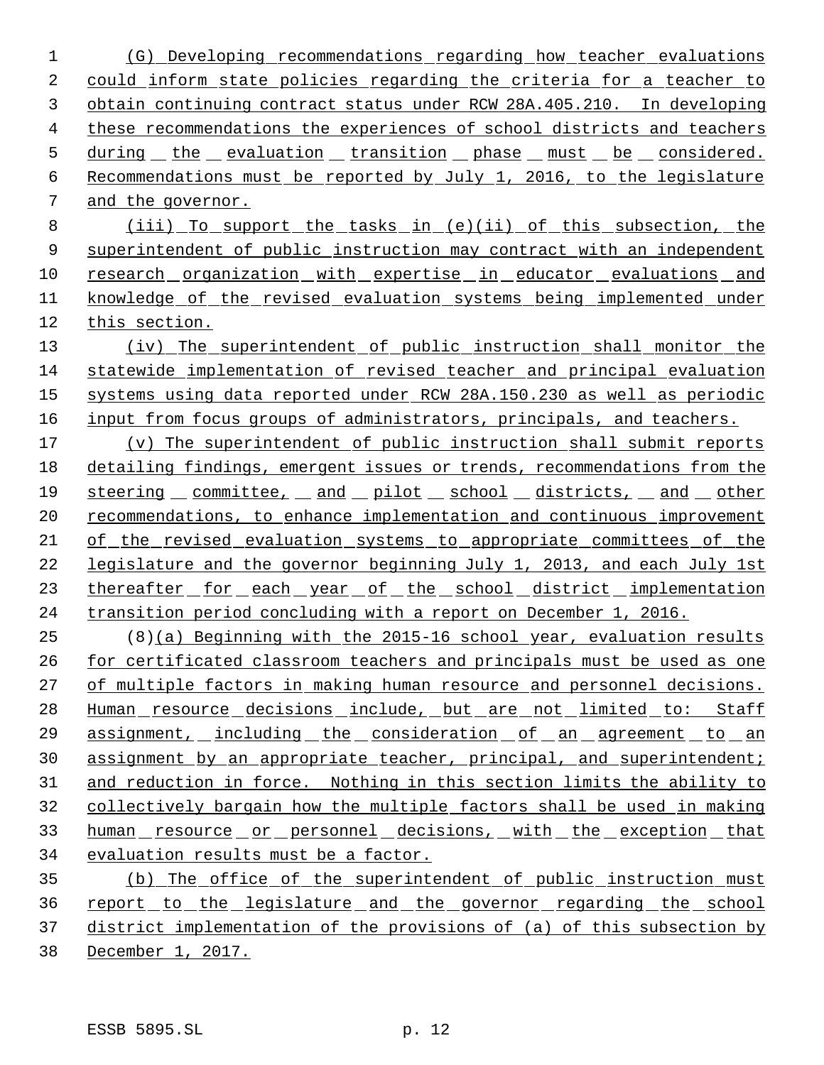(G) Developing recommendations regarding how teacher evaluations could inform state policies regarding the criteria for a teacher to obtain continuing contract status under RCW 28A.405.210. In developing these recommendations the experiences of school districts and teachers 5 during the evaluation transition phase must be considered. Recommendations must be reported by July 1, 2016, to the legislature and the governor.

 (iii) To support the tasks in (e)(ii) of this subsection, the 9 superintendent of public instruction may contract with an independent research organization with expertise in educator evaluations and knowledge of the revised evaluation systems being implemented under this section.

 (iv) The superintendent of public instruction shall monitor the statewide implementation of revised teacher and principal evaluation systems using data reported under RCW 28A.150.230 as well as periodic 16 input from focus groups of administrators, principals, and teachers.

 (v) The superintendent of public instruction shall submit reports detailing findings, emergent issues or trends, recommendations from the steering committee, and pilot school districts, and other 20 recommendations, to enhance implementation and continuous improvement of the revised evaluation systems to appropriate committees of the legislature and the governor beginning July 1, 2013, and each July 1st 23 thereafter for each year of the school district implementation transition period concluding with a report on December 1, 2016.

 (8)(a) Beginning with the 2015-16 school year, evaluation results for certificated classroom teachers and principals must be used as one of multiple factors in making human resource and personnel decisions. 28 Human resource decisions include, but are not limited to: Staff assignment, including the consideration of an agreement to an assignment by an appropriate teacher, principal, and superintendent; and reduction in force. Nothing in this section limits the ability to collectively bargain how the multiple factors shall be used in making 33 human resource or personnel decisions, with the exception that evaluation results must be a factor.

 (b) The office of the superintendent of public instruction must report to the legislature and the governor regarding the school district implementation of the provisions of (a) of this subsection by 38 December 1, 2017.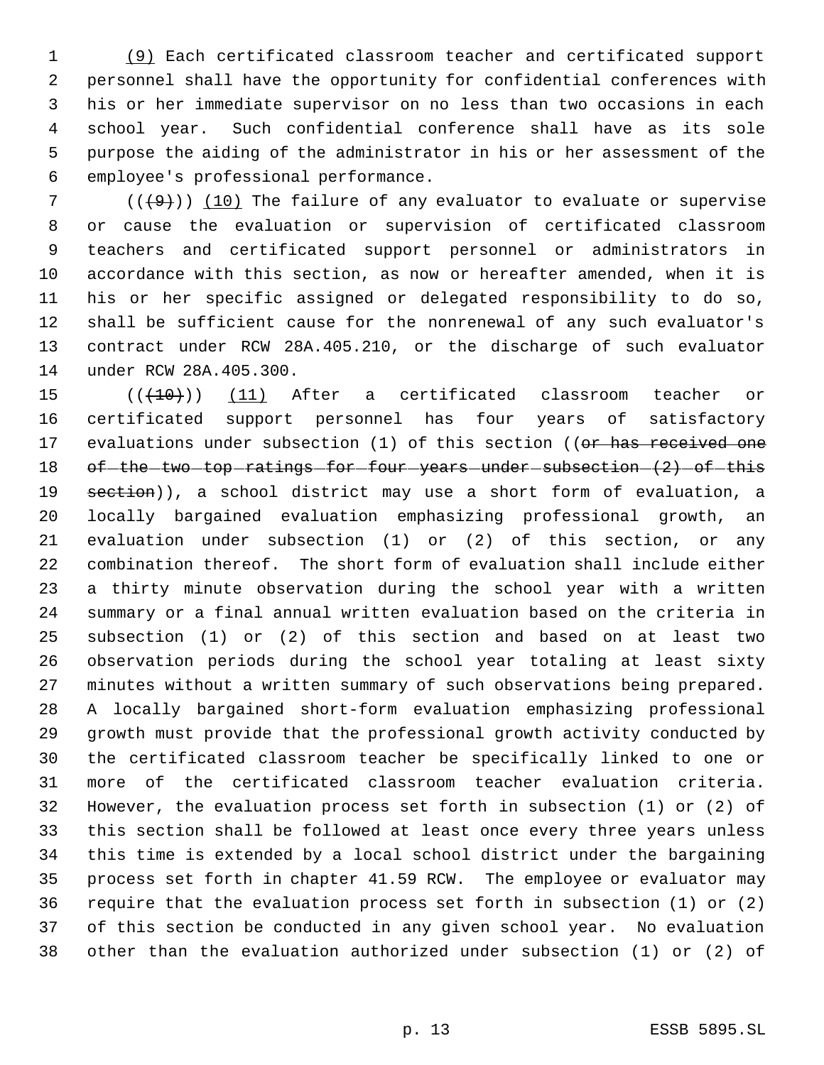(9) Each certificated classroom teacher and certificated support personnel shall have the opportunity for confidential conferences with his or her immediate supervisor on no less than two occasions in each school year. Such confidential conference shall have as its sole purpose the aiding of the administrator in his or her assessment of the employee's professional performance.

 $((+9))$  (10) The failure of any evaluator to evaluate or supervise or cause the evaluation or supervision of certificated classroom teachers and certificated support personnel or administrators in accordance with this section, as now or hereafter amended, when it is his or her specific assigned or delegated responsibility to do so, shall be sufficient cause for the nonrenewal of any such evaluator's contract under RCW 28A.405.210, or the discharge of such evaluator under RCW 28A.405.300.

 $((+10))$  (11) After a certificated classroom teacher or certificated support personnel has four years of satisfactory 17 evaluations under subsection (1) of this section ((or has received one 18 of the two top ratings for four years under subsection (2) of this 19 section)), a school district may use a short form of evaluation, a locally bargained evaluation emphasizing professional growth, an evaluation under subsection (1) or (2) of this section, or any combination thereof. The short form of evaluation shall include either a thirty minute observation during the school year with a written summary or a final annual written evaluation based on the criteria in subsection (1) or (2) of this section and based on at least two observation periods during the school year totaling at least sixty minutes without a written summary of such observations being prepared. A locally bargained short-form evaluation emphasizing professional growth must provide that the professional growth activity conducted by the certificated classroom teacher be specifically linked to one or more of the certificated classroom teacher evaluation criteria. However, the evaluation process set forth in subsection (1) or (2) of this section shall be followed at least once every three years unless this time is extended by a local school district under the bargaining process set forth in chapter 41.59 RCW. The employee or evaluator may require that the evaluation process set forth in subsection (1) or (2) of this section be conducted in any given school year. No evaluation other than the evaluation authorized under subsection (1) or (2) of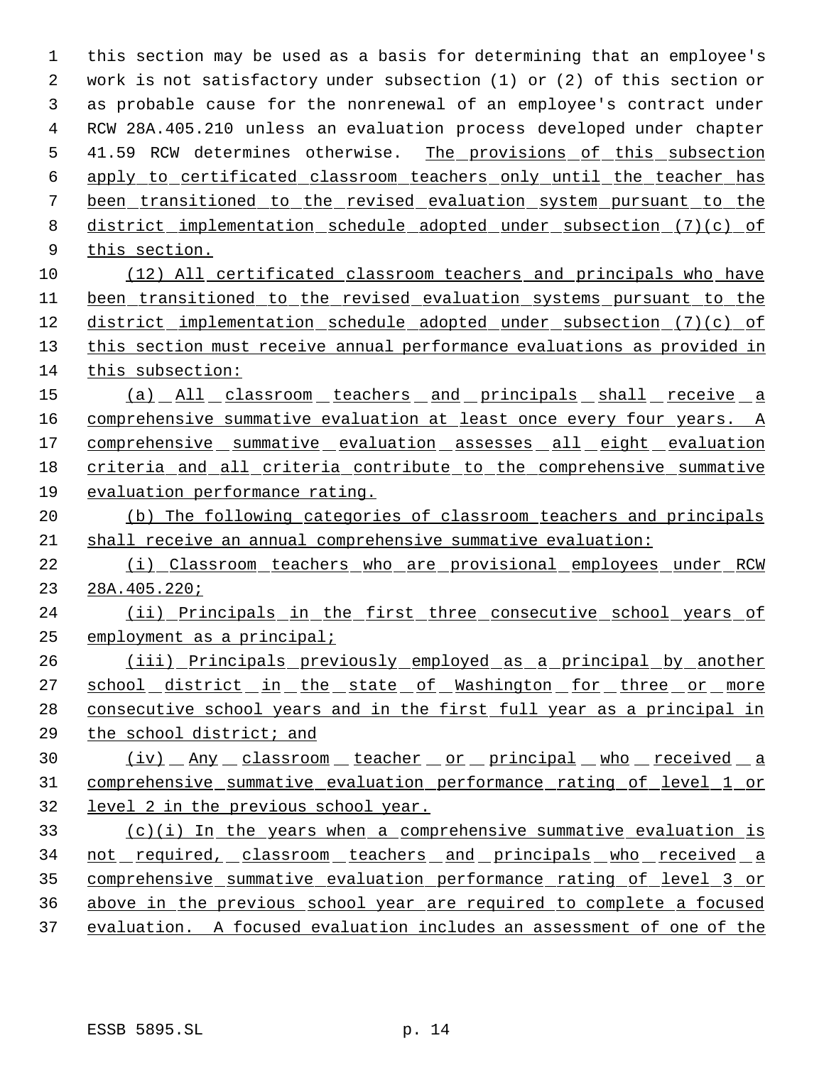this section may be used as a basis for determining that an employee's work is not satisfactory under subsection (1) or (2) of this section or as probable cause for the nonrenewal of an employee's contract under RCW 28A.405.210 unless an evaluation process developed under chapter 5 41.59 RCW determines otherwise. The provisions of this subsection apply to certificated classroom teachers only until the teacher has been transitioned to the revised evaluation system pursuant to the district implementation schedule adopted under subsection (7)(c) of this section. (12) All certificated classroom teachers and principals who have been transitioned to the revised evaluation systems pursuant to the 12 district implementation schedule adopted under subsection (7)(c) of this section must receive annual performance evaluations as provided in this subsection: 15 (a) All classroom teachers and principals shall receive a 16 comprehensive summative evaluation at least once every four years. A 17 comprehensive summative evaluation assesses all eight evaluation criteria and all criteria contribute to the comprehensive summative evaluation performance rating. (b) The following categories of classroom teachers and principals shall receive an annual comprehensive summative evaluation: (i) Classroom teachers who are provisional employees under RCW 28A.405.220; 24 (ii) Principals in the first three consecutive school years of employment as a principal; (iii) Principals previously employed as a principal by another 27 school district in the state of Washington for three or more 28 consecutive school years and in the first full year as a principal in the school district; and 30 (iv) Any classroom teacher or principal who received a comprehensive summative evaluation performance rating of level 1 or level 2 in the previous school year.

 (c)(i) In the years when a comprehensive summative evaluation is 34 not required, classroom teachers and principals who received a comprehensive summative evaluation performance rating of level 3 or above in the previous school year are required to complete a focused evaluation. A focused evaluation includes an assessment of one of the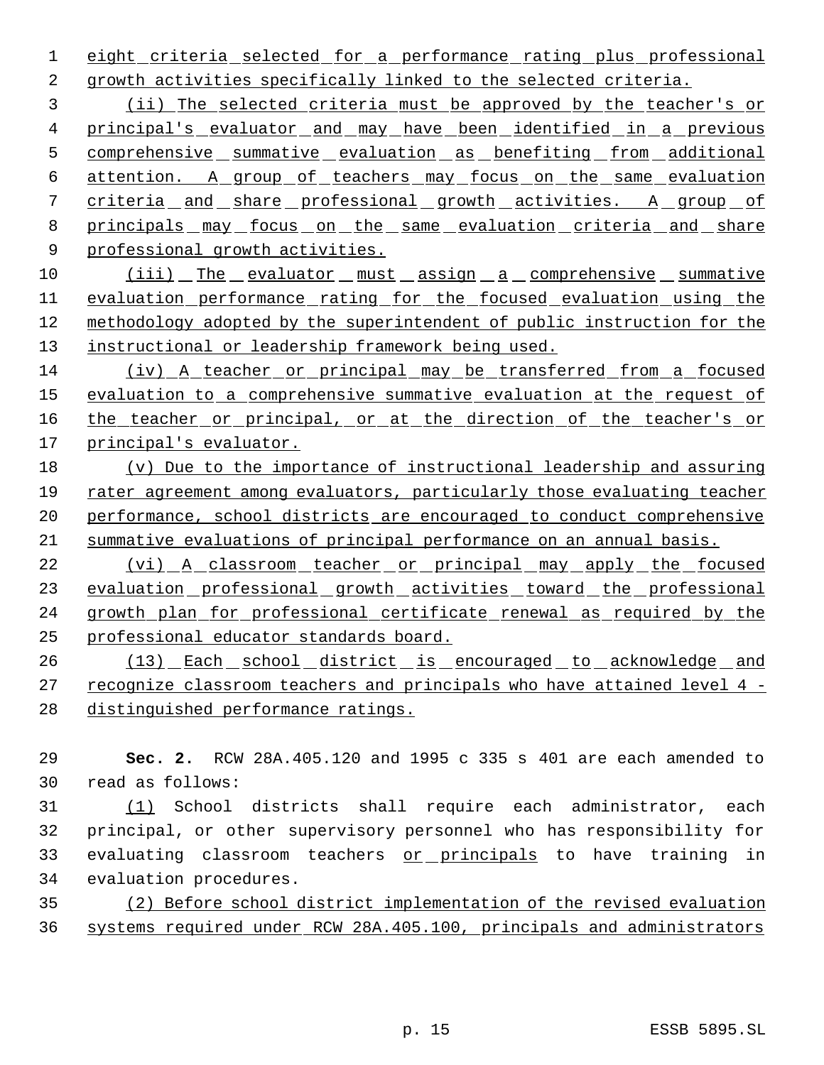1 eight criteria selected for a performance rating plus professional growth activities specifically linked to the selected criteria.

 (ii) The selected criteria must be approved by the teacher's or 4 principal's evaluator and may have been identified in a previous 5 comprehensive summative evaluation as benefiting from additional attention. A group of teachers may focus on the same evaluation 7 criteria and share professional growth activities. A group of principals may focus on the same evaluation criteria and share professional growth activities.

10 (iii) The evaluator must assign a comprehensive summative evaluation performance rating for the focused evaluation using the methodology adopted by the superintendent of public instruction for the 13 instructional or leadership framework being used.

 (iv) A teacher or principal may be transferred from a focused 15 evaluation to a comprehensive summative evaluation at the request of 16 the teacher or principal, or at the direction of the teacher's or principal's evaluator.

 (v) Due to the importance of instructional leadership and assuring rater agreement among evaluators, particularly those evaluating teacher performance, school districts are encouraged to conduct comprehensive summative evaluations of principal performance on an annual basis.

22 (vi) A classroom teacher or principal may apply the focused 23 evaluation professional growth activities toward the professional growth plan for professional certificate renewal as required by the professional educator standards board.

26 (13) Each school district is encouraged to acknowledge and recognize classroom teachers and principals who have attained level 4 - distinguished performance ratings.

 **Sec. 2.** RCW 28A.405.120 and 1995 c 335 s 401 are each amended to read as follows:

 (1) School districts shall require each administrator, each principal, or other supervisory personnel who has responsibility for 33 evaluating classroom teachers or principals to have training in evaluation procedures.

 (2) Before school district implementation of the revised evaluation systems required under RCW 28A.405.100, principals and administrators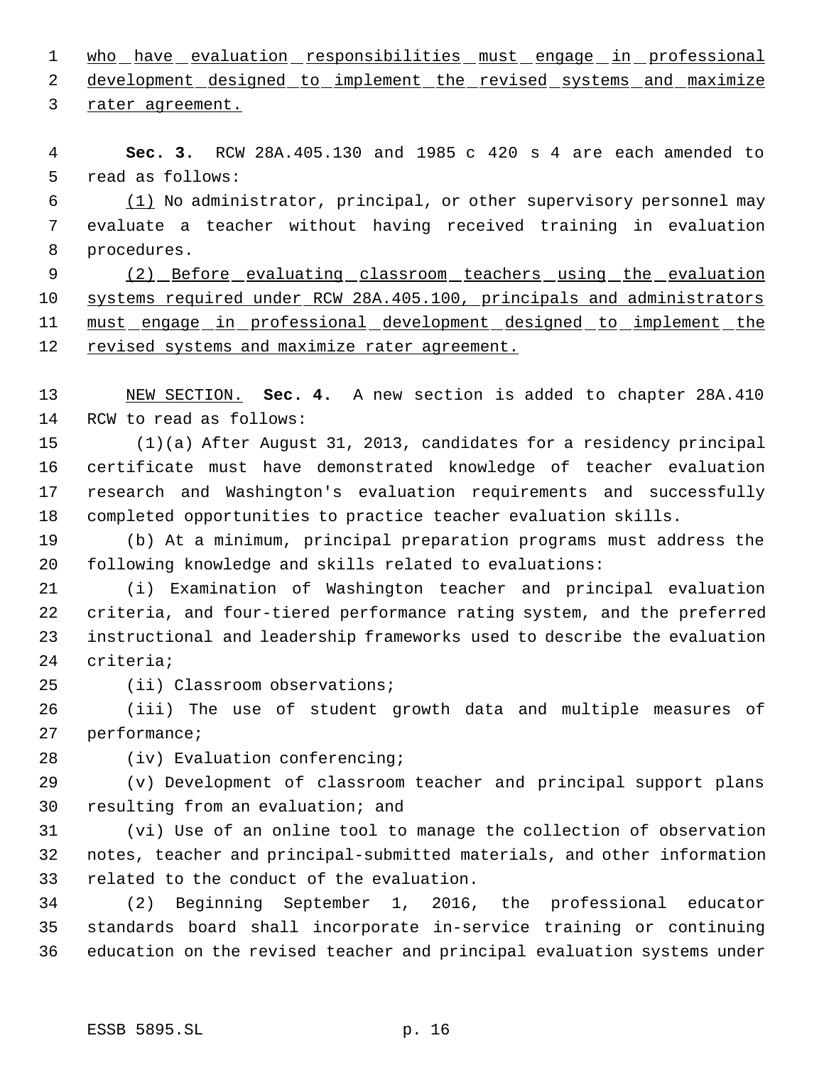1 who have evaluation responsibilities must engage in professional

2 development designed to implement the revised systems and maximize rater agreement.

 **Sec. 3.** RCW 28A.405.130 and 1985 c 420 s 4 are each amended to read as follows:

 (1) No administrator, principal, or other supervisory personnel may evaluate a teacher without having received training in evaluation procedures.

9 (2) Before evaluating classroom teachers using the evaluation systems required under RCW 28A.405.100, principals and administrators 11 must engage in professional development designed to implement the 12 revised systems and maximize rater agreement.

 NEW SECTION. **Sec. 4.** A new section is added to chapter 28A.410 RCW to read as follows:

15 (1)(a) After August 31, 2013, candidates for a residency principal certificate must have demonstrated knowledge of teacher evaluation research and Washington's evaluation requirements and successfully completed opportunities to practice teacher evaluation skills.

 (b) At a minimum, principal preparation programs must address the following knowledge and skills related to evaluations:

 (i) Examination of Washington teacher and principal evaluation criteria, and four-tiered performance rating system, and the preferred instructional and leadership frameworks used to describe the evaluation criteria;

(ii) Classroom observations;

 (iii) The use of student growth data and multiple measures of performance;

(iv) Evaluation conferencing;

 (v) Development of classroom teacher and principal support plans resulting from an evaluation; and

 (vi) Use of an online tool to manage the collection of observation notes, teacher and principal-submitted materials, and other information related to the conduct of the evaluation.

 (2) Beginning September 1, 2016, the professional educator standards board shall incorporate in-service training or continuing education on the revised teacher and principal evaluation systems under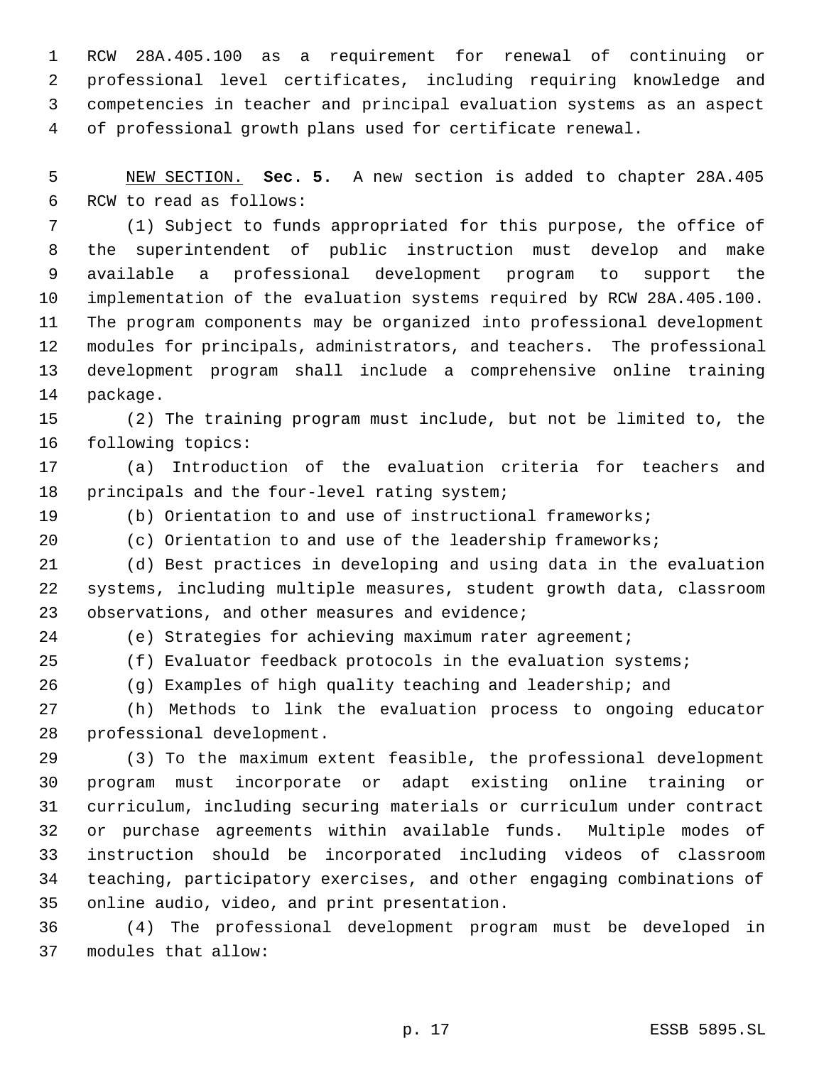RCW 28A.405.100 as a requirement for renewal of continuing or professional level certificates, including requiring knowledge and competencies in teacher and principal evaluation systems as an aspect of professional growth plans used for certificate renewal.

 NEW SECTION. **Sec. 5.** A new section is added to chapter 28A.405 RCW to read as follows:

 (1) Subject to funds appropriated for this purpose, the office of the superintendent of public instruction must develop and make available a professional development program to support the implementation of the evaluation systems required by RCW 28A.405.100. The program components may be organized into professional development modules for principals, administrators, and teachers. The professional development program shall include a comprehensive online training package.

 (2) The training program must include, but not be limited to, the following topics:

 (a) Introduction of the evaluation criteria for teachers and principals and the four-level rating system;

(b) Orientation to and use of instructional frameworks;

(c) Orientation to and use of the leadership frameworks;

 (d) Best practices in developing and using data in the evaluation systems, including multiple measures, student growth data, classroom 23 observations, and other measures and evidence;

(e) Strategies for achieving maximum rater agreement;

 (f) Evaluator feedback protocols in the evaluation systems; (g) Examples of high quality teaching and leadership; and

 (h) Methods to link the evaluation process to ongoing educator professional development.

 (3) To the maximum extent feasible, the professional development program must incorporate or adapt existing online training or curriculum, including securing materials or curriculum under contract or purchase agreements within available funds. Multiple modes of instruction should be incorporated including videos of classroom teaching, participatory exercises, and other engaging combinations of online audio, video, and print presentation.

 (4) The professional development program must be developed in modules that allow: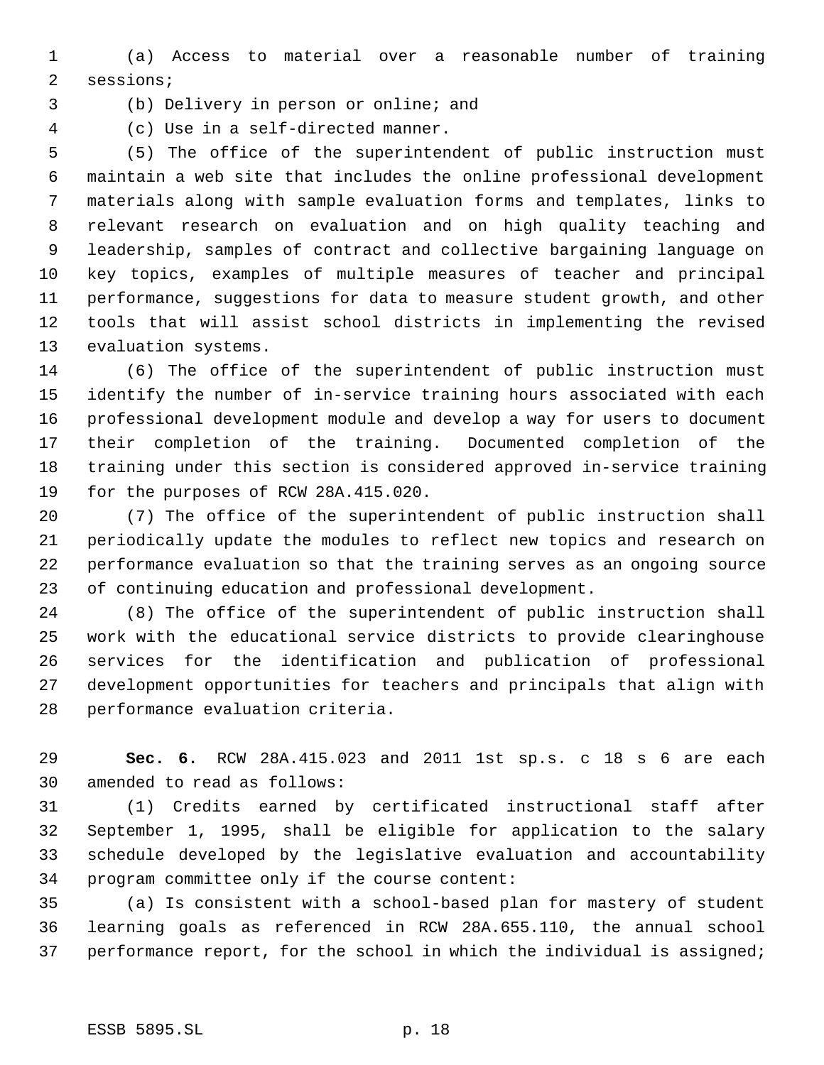(a) Access to material over a reasonable number of training sessions;

(b) Delivery in person or online; and

(c) Use in a self-directed manner.

 (5) The office of the superintendent of public instruction must maintain a web site that includes the online professional development materials along with sample evaluation forms and templates, links to relevant research on evaluation and on high quality teaching and leadership, samples of contract and collective bargaining language on key topics, examples of multiple measures of teacher and principal performance, suggestions for data to measure student growth, and other tools that will assist school districts in implementing the revised evaluation systems.

 (6) The office of the superintendent of public instruction must identify the number of in-service training hours associated with each professional development module and develop a way for users to document their completion of the training. Documented completion of the training under this section is considered approved in-service training for the purposes of RCW 28A.415.020.

 (7) The office of the superintendent of public instruction shall periodically update the modules to reflect new topics and research on performance evaluation so that the training serves as an ongoing source of continuing education and professional development.

 (8) The office of the superintendent of public instruction shall work with the educational service districts to provide clearinghouse services for the identification and publication of professional development opportunities for teachers and principals that align with performance evaluation criteria.

 **Sec. 6.** RCW 28A.415.023 and 2011 1st sp.s. c 18 s 6 are each amended to read as follows:

 (1) Credits earned by certificated instructional staff after September 1, 1995, shall be eligible for application to the salary schedule developed by the legislative evaluation and accountability program committee only if the course content:

 (a) Is consistent with a school-based plan for mastery of student learning goals as referenced in RCW 28A.655.110, the annual school 37 performance report, for the school in which the individual is assigned;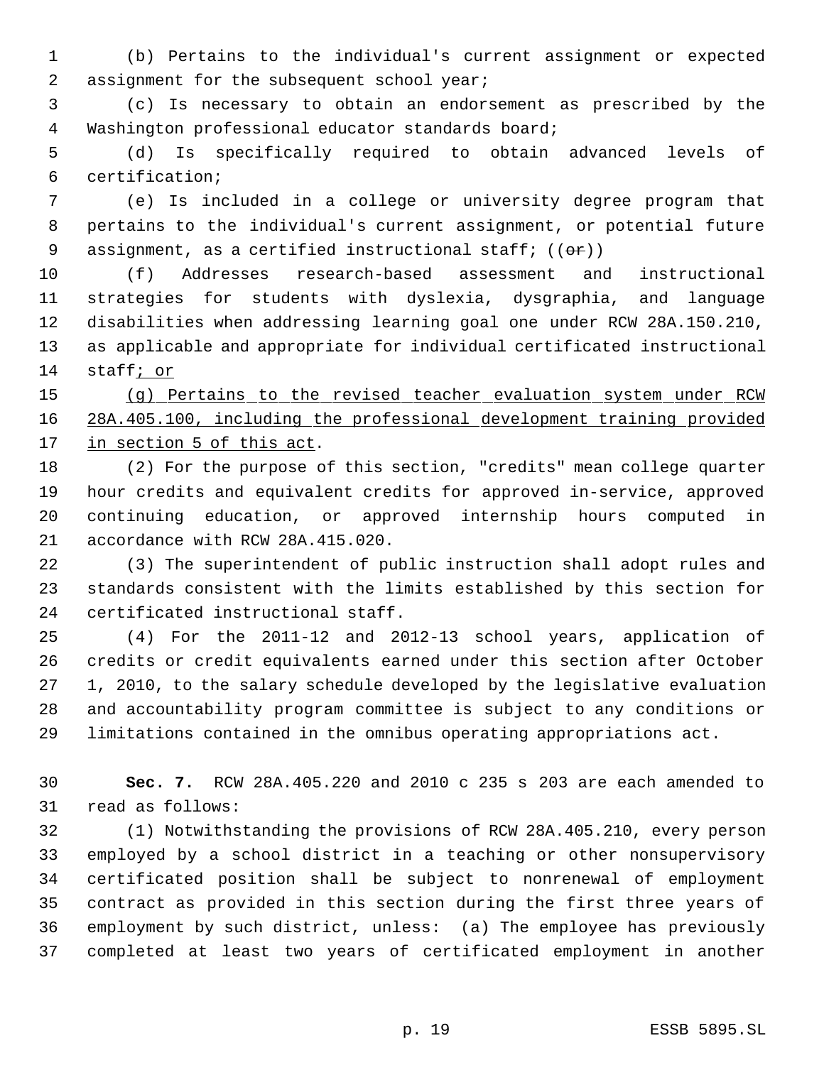(b) Pertains to the individual's current assignment or expected assignment for the subsequent school year;

 (c) Is necessary to obtain an endorsement as prescribed by the Washington professional educator standards board;

 (d) Is specifically required to obtain advanced levels of certification;

 (e) Is included in a college or university degree program that pertains to the individual's current assignment, or potential future 9 assignment, as a certified instructional staff;  $((\theta \cdot \mathbf{r}))$ 

 (f) Addresses research-based assessment and instructional strategies for students with dyslexia, dysgraphia, and language disabilities when addressing learning goal one under RCW 28A.150.210, as applicable and appropriate for individual certificated instructional staff; or

 (g) Pertains to the revised teacher evaluation system under RCW 28A.405.100, including the professional development training provided 17 in section 5 of this act.

 (2) For the purpose of this section, "credits" mean college quarter hour credits and equivalent credits for approved in-service, approved continuing education, or approved internship hours computed in accordance with RCW 28A.415.020.

 (3) The superintendent of public instruction shall adopt rules and standards consistent with the limits established by this section for certificated instructional staff.

 (4) For the 2011-12 and 2012-13 school years, application of credits or credit equivalents earned under this section after October 1, 2010, to the salary schedule developed by the legislative evaluation and accountability program committee is subject to any conditions or limitations contained in the omnibus operating appropriations act.

 **Sec. 7.** RCW 28A.405.220 and 2010 c 235 s 203 are each amended to read as follows:

 (1) Notwithstanding the provisions of RCW 28A.405.210, every person employed by a school district in a teaching or other nonsupervisory certificated position shall be subject to nonrenewal of employment contract as provided in this section during the first three years of employment by such district, unless: (a) The employee has previously completed at least two years of certificated employment in another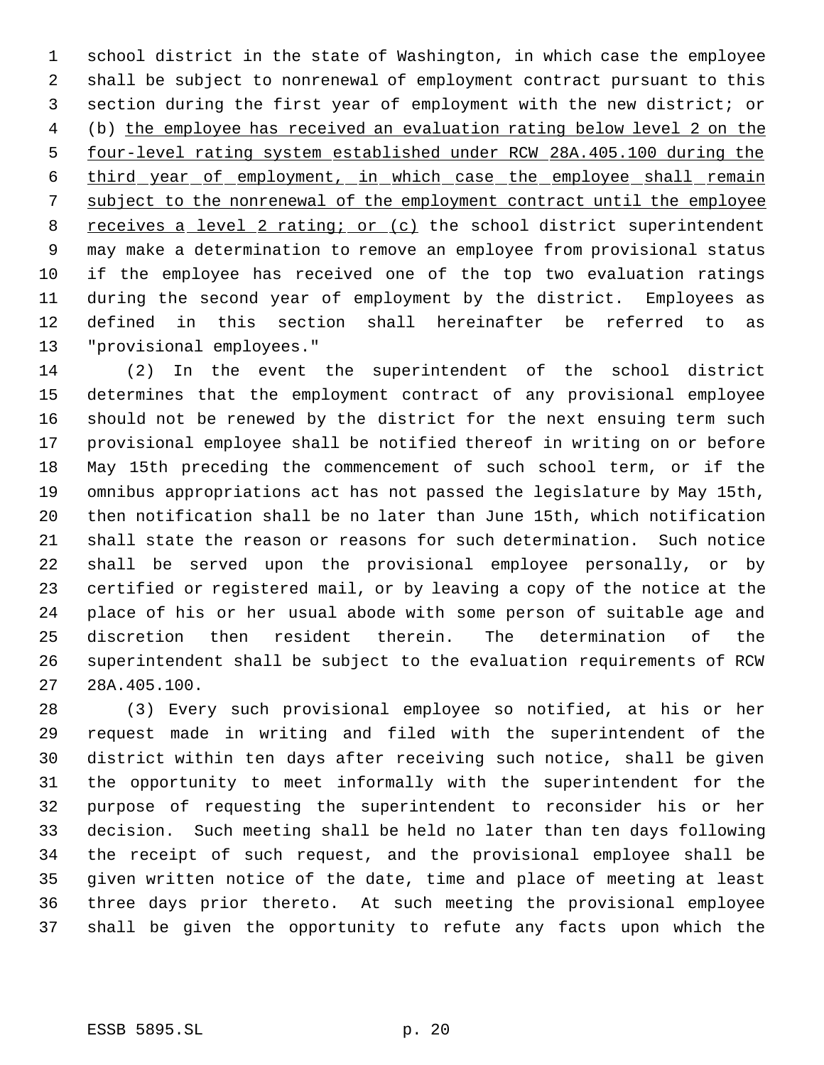school district in the state of Washington, in which case the employee shall be subject to nonrenewal of employment contract pursuant to this section during the first year of employment with the new district; or (b) the employee has received an evaluation rating below level 2 on the four-level rating system established under RCW 28A.405.100 during the third year of employment, in which case the employee shall remain subject to the nonrenewal of the employment contract until the employee 8 receives a level 2 rating; or (c) the school district superintendent may make a determination to remove an employee from provisional status if the employee has received one of the top two evaluation ratings during the second year of employment by the district. Employees as defined in this section shall hereinafter be referred to as "provisional employees."

 (2) In the event the superintendent of the school district determines that the employment contract of any provisional employee should not be renewed by the district for the next ensuing term such provisional employee shall be notified thereof in writing on or before May 15th preceding the commencement of such school term, or if the omnibus appropriations act has not passed the legislature by May 15th, then notification shall be no later than June 15th, which notification shall state the reason or reasons for such determination. Such notice shall be served upon the provisional employee personally, or by certified or registered mail, or by leaving a copy of the notice at the place of his or her usual abode with some person of suitable age and discretion then resident therein. The determination of the superintendent shall be subject to the evaluation requirements of RCW 28A.405.100.

 (3) Every such provisional employee so notified, at his or her request made in writing and filed with the superintendent of the district within ten days after receiving such notice, shall be given the opportunity to meet informally with the superintendent for the purpose of requesting the superintendent to reconsider his or her decision. Such meeting shall be held no later than ten days following the receipt of such request, and the provisional employee shall be given written notice of the date, time and place of meeting at least three days prior thereto. At such meeting the provisional employee shall be given the opportunity to refute any facts upon which the